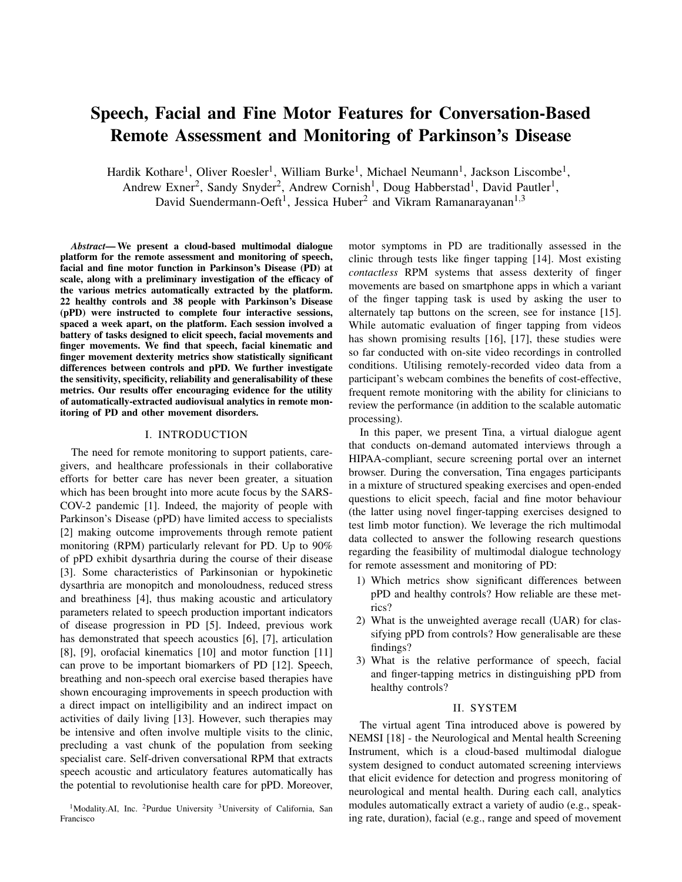# Speech, Facial and Fine Motor Features for Conversation-Based Remote Assessment and Monitoring of Parkinson's Disease

Hardik Kothare<sup>1</sup>, Oliver Roesler<sup>1</sup>, William Burke<sup>1</sup>, Michael Neumann<sup>1</sup>, Jackson Liscombe<sup>1</sup>,

Andrew Exner<sup>2</sup>, Sandy Snyder<sup>2</sup>, Andrew Cornish<sup>1</sup>, Doug Habberstad<sup>1</sup>, David Pautler<sup>1</sup>,

David Suendermann-Oeft<sup>1</sup>, Jessica Huber<sup>2</sup> and Vikram Ramanarayanan<sup>1,3</sup>

*Abstract*— We present a cloud-based multimodal dialogue platform for the remote assessment and monitoring of speech, facial and fine motor function in Parkinson's Disease (PD) at scale, along with a preliminary investigation of the efficacy of the various metrics automatically extracted by the platform. 22 healthy controls and 38 people with Parkinson's Disease (pPD) were instructed to complete four interactive sessions, spaced a week apart, on the platform. Each session involved a battery of tasks designed to elicit speech, facial movements and finger movements. We find that speech, facial kinematic and finger movement dexterity metrics show statistically significant differences between controls and pPD. We further investigate the sensitivity, specificity, reliability and generalisability of these metrics. Our results offer encouraging evidence for the utility of automatically-extracted audiovisual analytics in remote monitoring of PD and other movement disorders.

## I. INTRODUCTION

The need for remote monitoring to support patients, caregivers, and healthcare professionals in their collaborative efforts for better care has never been greater, a situation which has been brought into more acute focus by the SARS-COV-2 pandemic [1]. Indeed, the majority of people with Parkinson's Disease (pPD) have limited access to specialists [2] making outcome improvements through remote patient monitoring (RPM) particularly relevant for PD. Up to 90% of pPD exhibit dysarthria during the course of their disease [3]. Some characteristics of Parkinsonian or hypokinetic dysarthria are monopitch and monoloudness, reduced stress and breathiness [4], thus making acoustic and articulatory parameters related to speech production important indicators of disease progression in PD [5]. Indeed, previous work has demonstrated that speech acoustics [6], [7], articulation [8], [9], orofacial kinematics [10] and motor function [11] can prove to be important biomarkers of PD [12]. Speech, breathing and non-speech oral exercise based therapies have shown encouraging improvements in speech production with a direct impact on intelligibility and an indirect impact on activities of daily living [13]. However, such therapies may be intensive and often involve multiple visits to the clinic, precluding a vast chunk of the population from seeking specialist care. Self-driven conversational RPM that extracts speech acoustic and articulatory features automatically has the potential to revolutionise health care for pPD. Moreover,

<sup>1</sup>Modality.AI, Inc. <sup>2</sup>Purdue University <sup>3</sup>University of California, San Francisco

motor symptoms in PD are traditionally assessed in the clinic through tests like finger tapping [14]. Most existing *contactless* RPM systems that assess dexterity of finger movements are based on smartphone apps in which a variant of the finger tapping task is used by asking the user to alternately tap buttons on the screen, see for instance [15]. While automatic evaluation of finger tapping from videos has shown promising results [16], [17], these studies were so far conducted with on-site video recordings in controlled conditions. Utilising remotely-recorded video data from a participant's webcam combines the benefits of cost-effective, frequent remote monitoring with the ability for clinicians to review the performance (in addition to the scalable automatic processing).

In this paper, we present Tina, a virtual dialogue agent that conducts on-demand automated interviews through a HIPAA-compliant, secure screening portal over an internet browser. During the conversation, Tina engages participants in a mixture of structured speaking exercises and open-ended questions to elicit speech, facial and fine motor behaviour (the latter using novel finger-tapping exercises designed to test limb motor function). We leverage the rich multimodal data collected to answer the following research questions regarding the feasibility of multimodal dialogue technology for remote assessment and monitoring of PD:

- 1) Which metrics show significant differences between pPD and healthy controls? How reliable are these metrics?
- 2) What is the unweighted average recall (UAR) for classifying pPD from controls? How generalisable are these findings?
- 3) What is the relative performance of speech, facial and finger-tapping metrics in distinguishing pPD from healthy controls?

#### II. SYSTEM

The virtual agent Tina introduced above is powered by NEMSI [18] - the Neurological and Mental health Screening Instrument, which is a cloud-based multimodal dialogue system designed to conduct automated screening interviews that elicit evidence for detection and progress monitoring of neurological and mental health. During each call, analytics modules automatically extract a variety of audio (e.g., speaking rate, duration), facial (e.g., range and speed of movement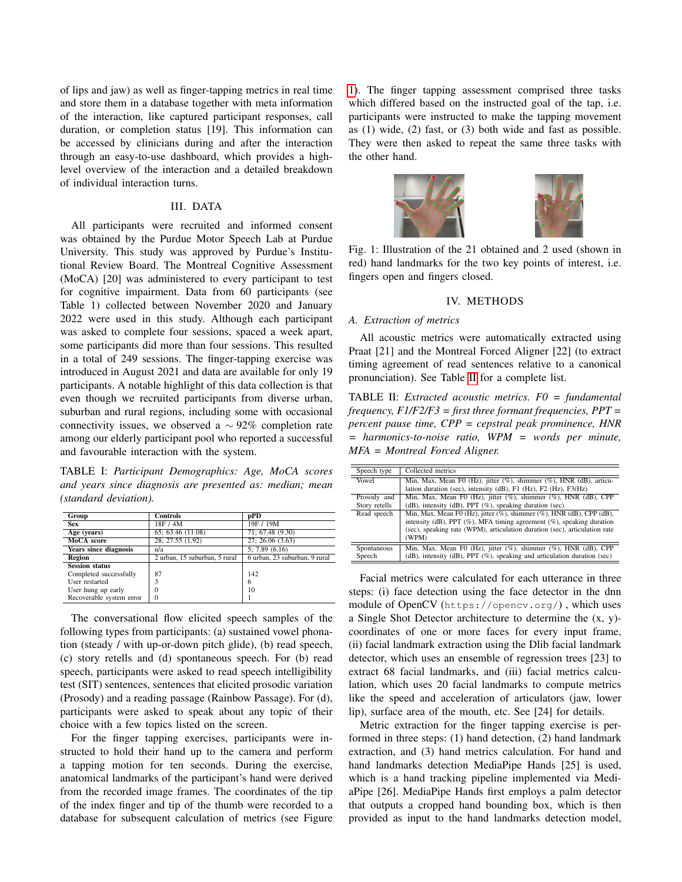of lips and jaw) as well as finger-tapping metrics in real time and store them in a database together with meta information of the interaction, like captured participant responses, call duration, or completion status [19]. This information can be accessed by clinicians during and after the interaction through an easy-to-use dashboard, which provides a highlevel overview of the interaction and a detailed breakdown of individual interaction turns.

# III. DATA

All participants were recruited and informed consent was obtained by the Purdue Motor Speech Lab at Purdue University. This study was approved by Purdue's Institutional Review Board. The Montreal Cognitive Assessment (MoCA) [20] was administered to every participant to test for cognitive impairment. Data from 60 participants (see Table 1) collected between November 2020 and January 2022 were used in this study. Although each participant was asked to complete four sessions, spaced a week apart, some participants did more than four sessions. This resulted in a total of 249 sessions. The finger-tapping exercise was introduced in August 2021 and data are available for only 19 participants. A notable highlight of this data collection is that even though we recruited participants from diverse urban, suburban and rural regions, including some with occasional connectivity issues, we observed a  $\sim$  92% completion rate among our elderly participant pool who reported a successful and favourable interaction with the system.

<span id="page-1-2"></span>TABLE I: *Participant Demographics: Age, MoCA scores and years since diagnosis are presented as: median; mean (standard deviation).*

| Group                        | <b>Controls</b>               | pPD                           |
|------------------------------|-------------------------------|-------------------------------|
| <b>Sex</b>                   | 18F / 4M                      | 19F / 19M                     |
| Age (years)                  | 65; 63.46 (11.08)             | 71; 67.48 (9.30)              |
| MoCA score                   | 28; 27.55 (1.92)              | 27; 26.06(3.63)               |
| <b>Years since diagnosis</b> | n/a                           | 5: 7.89(6.16)                 |
| <b>Region</b>                | 2 urban, 15 suburban, 5 rural | 6 urban, 23 suburban, 9 rural |
| <b>Session status</b>        |                               |                               |
| Completed successfully       | 87                            | 142                           |
| User restarted               | 3                             | 6                             |
| User hung up early           | 0                             | 10                            |
| Recoverable system error     | 0                             |                               |

The conversational flow elicited speech samples of the following types from participants: (a) sustained vowel phonation (steady / with up-or-down pitch glide), (b) read speech, (c) story retells and (d) spontaneous speech. For (b) read speech, participants were asked to read speech intelligibility test (SIT) sentences, sentences that elicited prosodic variation (Prosody) and a reading passage (Rainbow Passage). For (d), participants were asked to speak about any topic of their choice with a few topics listed on the screen.

For the finger tapping exercises, participants were instructed to hold their hand up to the camera and perform a tapping motion for ten seconds. During the exercise, anatomical landmarks of the participant's hand were derived from the recorded image frames. The coordinates of the tip of the index finger and tip of the thumb were recorded to a database for subsequent calculation of metrics (see Figure

[1\)](#page-1-0). The finger tapping assessment comprised three tasks which differed based on the instructed goal of the tap, i.e. participants were instructed to make the tapping movement as (1) wide, (2) fast, or (3) both wide and fast as possible. They were then asked to repeat the same three tasks with the other hand.

<span id="page-1-0"></span>

Fig. 1: Illustration of the 21 obtained and 2 used (shown in red) hand landmarks for the two key points of interest, i.e. fingers open and fingers closed.

#### IV. METHODS

#### *A. Extraction of metrics*

All acoustic metrics were automatically extracted using Praat [21] and the Montreal Forced Aligner [22] (to extract timing agreement of read sentences relative to a canonical pronunciation). See Table [II](#page-1-1) for a complete list.

<span id="page-1-1"></span>TABLE II: *Extracted acoustic metrics. F0 = fundamental frequency, F1/F2/F3 = first three formant frequencies, PPT = percent pause time, CPP = cepstral peak prominence, HNR = harmonics-to-noise ratio, WPM = words per minute, MFA = Montreal Forced Aligner.*

| Speech type           | Collected metrics                                                                                                                                                                                                                                   |
|-----------------------|-----------------------------------------------------------------------------------------------------------------------------------------------------------------------------------------------------------------------------------------------------|
| Vowel                 | Min, Max, Mean F0 (Hz), jitter $(\%)$ , shimmer $(\%)$ , HNR (dB), articu-<br>lation duration (sec), intensity (dB), F1 (Hz), F2 (Hz), F3(Hz)                                                                                                       |
| Prosody and           | Min, Max, Mean F0 (Hz), jitter (%), shimmer (%), HNR (dB), CPP                                                                                                                                                                                      |
| Story retells         | (dB), intensity (dB), PPT $(\%)$ , speaking duration (sec)                                                                                                                                                                                          |
| Read speech           | Min, Max, Mean F0 (Hz), jitter $(\%)$ , shimmer $(\%)$ , HNR (dB), CPP (dB),<br>intensity (dB), PPT $(\%)$ , MFA timing agreement $(\%)$ , speaking duration<br>(sec), speaking rate (WPM), articulation duration (sec), articulation rate<br>(WPM) |
| Spontaneous<br>Speech | Min, Max, Mean F0 (Hz), jitter (%), shimmer (%), HNR (dB), CPP<br>(dB), intensity (dB), PPT (%), speaking and articulation duration (sec)                                                                                                           |

Facial metrics were calculated for each utterance in three steps: (i) face detection using the face detector in the dnn module of OpenCV (https://opencv.org/) , which uses a Single Shot Detector architecture to determine the (x, y) coordinates of one or more faces for every input frame, (ii) facial landmark extraction using the Dlib facial landmark detector, which uses an ensemble of regression trees [23] to extract 68 facial landmarks, and (iii) facial metrics calculation, which uses 20 facial landmarks to compute metrics like the speed and acceleration of articulators (jaw, lower lip), surface area of the mouth, etc. See [24] for details.

Metric extraction for the finger tapping exercise is performed in three steps: (1) hand detection, (2) hand landmark extraction, and (3) hand metrics calculation. For hand and hand landmarks detection MediaPipe Hands [25] is used, which is a hand tracking pipeline implemented via MediaPipe [26]. MediaPipe Hands first employs a palm detector that outputs a cropped hand bounding box, which is then provided as input to the hand landmarks detection model,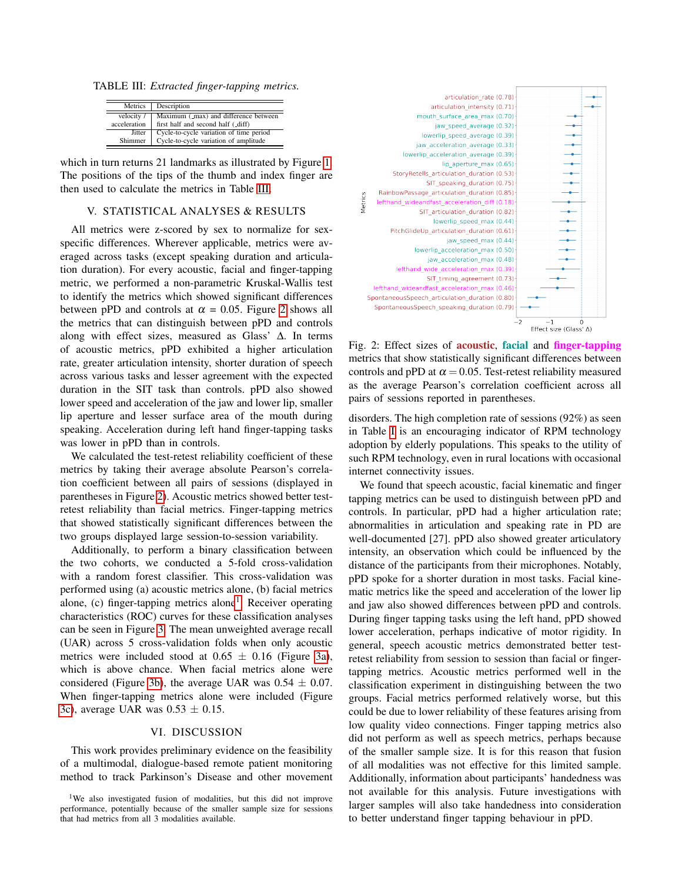<span id="page-2-0"></span>TABLE III: *Extracted finger-tapping metrics.*

| Metrics      | Description                             |
|--------------|-----------------------------------------|
| velocity /   | Maximum (_max) and difference between   |
| acceleration | first half and second half (_diff)      |
| Jitter       | Cycle-to-cycle variation of time period |
| Shimmer      | Cycle-to-cycle variation of amplitude   |

which in turn returns 21 landmarks as illustrated by Figure [1.](#page-1-0) The positions of the tips of the thumb and index finger are then used to calculate the metrics in Table [III.](#page-2-0)

## V. STATISTICAL ANALYSES & RESULTS

All metrics were z-scored by sex to normalize for sexspecific differences. Wherever applicable, metrics were averaged across tasks (except speaking duration and articulation duration). For every acoustic, facial and finger-tapping metric, we performed a non-parametric Kruskal-Wallis test to identify the metrics which showed significant differences between pPD and controls at  $\alpha = 0.05$ . Figure [2](#page-2-1) shows all the metrics that can distinguish between pPD and controls along with effect sizes, measured as Glass' ∆. In terms of acoustic metrics, pPD exhibited a higher articulation rate, greater articulation intensity, shorter duration of speech across various tasks and lesser agreement with the expected duration in the SIT task than controls. pPD also showed lower speed and acceleration of the jaw and lower lip, smaller lip aperture and lesser surface area of the mouth during speaking. Acceleration during left hand finger-tapping tasks was lower in pPD than in controls.

We calculated the test-retest reliability coefficient of these metrics by taking their average absolute Pearson's correlation coefficient between all pairs of sessions (displayed in parentheses in Figure [2\)](#page-2-1). Acoustic metrics showed better testretest reliability than facial metrics. Finger-tapping metrics that showed statistically significant differences between the two groups displayed large session-to-session variability.

Additionally, to perform a binary classification between the two cohorts, we conducted a 5-fold cross-validation with a random forest classifier. This cross-validation was performed using (a) acoustic metrics alone, (b) facial metrics alone, (c) finger-tapping metrics alone<sup>[1](#page-2-2)</sup>. Receiver operating characteristics (ROC) curves for these classification analyses can be seen in Figure [3.](#page-3-0) The mean unweighted average recall (UAR) across 5 cross-validation folds when only acoustic metrics were included stood at  $0.65 \pm 0.16$  (Figure [3a\)](#page-3-0), which is above chance. When facial metrics alone were considered (Figure [3b\)](#page-3-0), the average UAR was  $0.54 \pm 0.07$ . When finger-tapping metrics alone were included (Figure [3c\)](#page-3-0), average UAR was  $0.53 \pm 0.15$ .

#### VI. DISCUSSION

This work provides preliminary evidence on the feasibility of a multimodal, dialogue-based remote patient monitoring method to track Parkinson's Disease and other movement

<span id="page-2-1"></span>

Fig. 2: Effect sizes of **acoustic**, facial and **finger-tapping** metrics that show statistically significant differences between controls and pPD at  $\alpha = 0.05$ . Test-retest reliability measured as the average Pearson's correlation coefficient across all pairs of sessions reported in parentheses.

disorders. The high completion rate of sessions (92%) as seen in Table [I](#page-1-2) is an encouraging indicator of RPM technology adoption by elderly populations. This speaks to the utility of such RPM technology, even in rural locations with occasional internet connectivity issues.

We found that speech acoustic, facial kinematic and finger tapping metrics can be used to distinguish between pPD and controls. In particular, pPD had a higher articulation rate; abnormalities in articulation and speaking rate in PD are well-documented [27]. pPD also showed greater articulatory intensity, an observation which could be influenced by the distance of the participants from their microphones. Notably, pPD spoke for a shorter duration in most tasks. Facial kinematic metrics like the speed and acceleration of the lower lip and jaw also showed differences between pPD and controls. During finger tapping tasks using the left hand, pPD showed lower acceleration, perhaps indicative of motor rigidity. In general, speech acoustic metrics demonstrated better testretest reliability from session to session than facial or fingertapping metrics. Acoustic metrics performed well in the classification experiment in distinguishing between the two groups. Facial metrics performed relatively worse, but this could be due to lower reliability of these features arising from low quality video connections. Finger tapping metrics also did not perform as well as speech metrics, perhaps because of the smaller sample size. It is for this reason that fusion of all modalities was not effective for this limited sample. Additionally, information about participants' handedness was not available for this analysis. Future investigations with larger samples will also take handedness into consideration to better understand finger tapping behaviour in pPD.

<span id="page-2-2"></span><sup>&</sup>lt;sup>1</sup>We also investigated fusion of modalities, but this did not improve performance, potentially because of the smaller sample size for sessions that had metrics from all 3 modalities available.